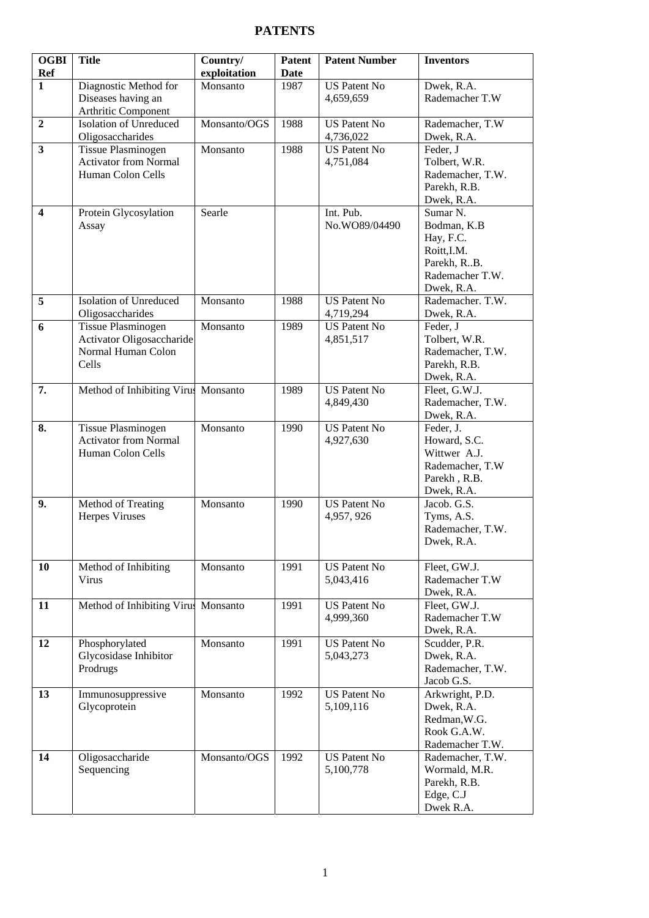## **PATENTS**

| <b>OGBI</b><br><b>Ref</b> | <b>Title</b>                                              | Country/                 | <b>Patent</b> | <b>Patent Number</b> | <b>Inventors</b>              |
|---------------------------|-----------------------------------------------------------|--------------------------|---------------|----------------------|-------------------------------|
| $\mathbf{1}$              |                                                           | exploitation<br>Monsanto | Date          | <b>US Patent No</b>  |                               |
|                           | Diagnostic Method for                                     |                          | 1987          |                      | Dwek, R.A.<br>Rademacher T.W  |
|                           | Diseases having an                                        |                          |               | 4,659,659            |                               |
| $\overline{2}$            | Arthritic Component<br><b>Isolation of Unreduced</b>      | Monsanto/OGS             | 1988          | <b>US Patent No</b>  | Rademacher, T.W               |
|                           | Oligosaccharides                                          |                          |               | 4,736,022            | Dwek, R.A.                    |
| 3                         | <b>Tissue Plasminogen</b>                                 | Monsanto                 | 1988          | <b>US Patent No</b>  | Feder, J                      |
|                           | <b>Activator from Normal</b>                              |                          |               | 4,751,084            | Tolbert, W.R.                 |
|                           | Human Colon Cells                                         |                          |               |                      | Rademacher, T.W.              |
|                           |                                                           |                          |               |                      | Parekh, R.B.                  |
|                           |                                                           |                          |               |                      | Dwek, R.A.                    |
| $\overline{\mathbf{4}}$   | Protein Glycosylation                                     | Searle                   |               | Int. Pub.            | Sumar <sub>N.</sub>           |
|                           | Assay                                                     |                          |               | No.WO89/04490        | Bodman, K.B                   |
|                           |                                                           |                          |               |                      | Hay, F.C.                     |
|                           |                                                           |                          |               |                      | Roitt, I.M.                   |
|                           |                                                           |                          |               |                      | Parekh, R.B.                  |
|                           |                                                           |                          |               |                      | Rademacher T.W.               |
|                           |                                                           |                          |               |                      | Dwek, R.A.                    |
| $\overline{5}$            | <b>Isolation of Unreduced</b>                             | Monsanto                 | 1988          | <b>US Patent No</b>  | Rademacher. T.W.              |
|                           | Oligosaccharides                                          |                          |               | 4,719,294            | Dwek, R.A.                    |
| 6                         | <b>Tissue Plasminogen</b>                                 | Monsanto                 | 1989          | <b>US Patent No</b>  | Feder, J                      |
|                           | Activator Oligosaccharide                                 |                          |               | 4,851,517            | Tolbert, W.R.                 |
|                           | Normal Human Colon                                        |                          |               |                      | Rademacher, T.W.              |
|                           | Cells                                                     |                          |               |                      | Parekh, R.B.                  |
|                           |                                                           |                          |               |                      | Dwek, R.A.                    |
| 7.                        | Method of Inhibiting Virus Monsanto                       |                          | 1989          | <b>US Patent No</b>  | Fleet, G.W.J.                 |
|                           |                                                           |                          |               | 4,849,430            | Rademacher, T.W.              |
|                           |                                                           |                          |               | <b>US Patent No</b>  | Dwek, R.A.                    |
| 8.                        | <b>Tissue Plasminogen</b><br><b>Activator from Normal</b> | Monsanto                 | 1990          | 4,927,630            | Feder, J.<br>Howard, S.C.     |
|                           | Human Colon Cells                                         |                          |               |                      | Wittwer A.J.                  |
|                           |                                                           |                          |               |                      | Rademacher, T.W               |
|                           |                                                           |                          |               |                      | Parekh, R.B.                  |
|                           |                                                           |                          |               |                      | Dwek, R.A.                    |
| 9.                        | Method of Treating                                        | Monsanto                 | 1990          | <b>US Patent No</b>  | Jacob. G.S.                   |
|                           | <b>Herpes Viruses</b>                                     |                          |               | 4,957, 926           | Tyms, A.S.                    |
|                           |                                                           |                          |               |                      | Rademacher, T.W.              |
|                           |                                                           |                          |               |                      | Dwek, R.A.                    |
|                           |                                                           |                          |               |                      |                               |
| 10                        | Method of Inhibiting                                      | Monsanto                 | 1991          | <b>US Patent No</b>  | Fleet, GW.J.                  |
|                           | Virus                                                     |                          |               | 5,043,416            | Rademacher T.W                |
|                           |                                                           |                          |               |                      | Dwek, R.A.                    |
| 11                        | Method of Inhibiting Virus                                | Monsanto                 | 1991          | <b>US Patent No</b>  | Fleet, GW.J.                  |
|                           |                                                           |                          |               | 4,999,360            | Rademacher T.W                |
|                           |                                                           |                          |               |                      | Dwek, R.A.                    |
| 12                        | Phosphorylated                                            | Monsanto                 | 1991          | <b>US Patent No</b>  | Scudder, P.R.                 |
|                           | Glycosidase Inhibitor                                     |                          |               | 5,043,273            | Dwek, R.A.                    |
|                           | Prodrugs                                                  |                          |               |                      | Rademacher, T.W.              |
|                           |                                                           | Monsanto                 | 1992          | <b>US Patent No</b>  | Jacob G.S.                    |
| 13                        | Immunosuppressive<br>Glycoprotein                         |                          |               | 5,109,116            | Arkwright, P.D.<br>Dwek, R.A. |
|                           |                                                           |                          |               |                      | Redman, W.G.                  |
|                           |                                                           |                          |               |                      | Rook G.A.W.                   |
|                           |                                                           |                          |               |                      | Rademacher T.W.               |
| 14                        | Oligosaccharide                                           | Monsanto/OGS             | 1992          | <b>US Patent No</b>  | Rademacher, T.W.              |
|                           | Sequencing                                                |                          |               | 5,100,778            | Wormald, M.R.                 |
|                           |                                                           |                          |               |                      | Parekh, R.B.                  |
|                           |                                                           |                          |               |                      | Edge, C.J                     |
|                           |                                                           |                          |               |                      | Dwek R.A.                     |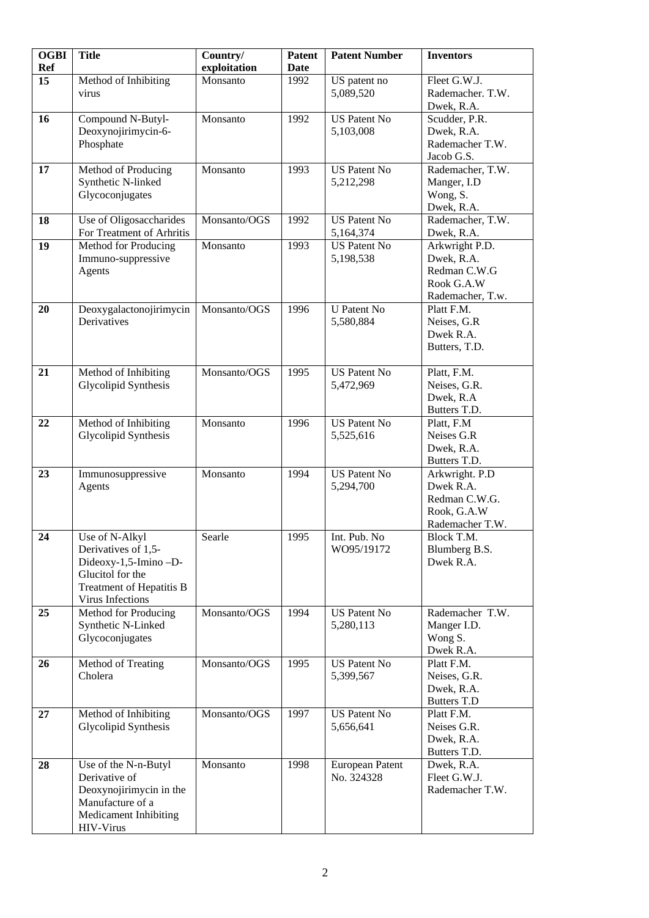| <b>OGBI</b><br><b>Ref</b> | <b>Title</b>              | Country/<br>exploitation | Patent<br><b>Date</b> | <b>Patent Number</b> | <b>Inventors</b>   |
|---------------------------|---------------------------|--------------------------|-----------------------|----------------------|--------------------|
| 15                        | Method of Inhibiting      | Monsanto                 | 1992                  | US patent no         | Fleet G.W.J.       |
|                           | virus                     |                          |                       | 5,089,520            | Rademacher. T.W.   |
|                           |                           |                          |                       |                      | Dwek, R.A.         |
| 16                        |                           | Monsanto                 | 1992                  | <b>US Patent No</b>  | Scudder, P.R.      |
|                           | Compound N-Butyl-         |                          |                       |                      |                    |
|                           | Deoxynojirimycin-6-       |                          |                       | 5,103,008            | Dwek, R.A.         |
|                           | Phosphate                 |                          |                       |                      | Rademacher T.W.    |
|                           |                           |                          |                       |                      | Jacob G.S.         |
| 17                        | Method of Producing       | Monsanto                 | 1993                  | <b>US Patent No</b>  | Rademacher, T.W.   |
|                           | Synthetic N-linked        |                          |                       | 5,212,298            | Manger, I.D        |
|                           | Glycoconjugates           |                          |                       |                      | Wong, S.           |
|                           |                           |                          |                       |                      | Dwek, R.A.         |
| 18                        | Use of Oligosaccharides   | Monsanto/OGS             | 1992                  | <b>US Patent No</b>  | Rademacher, T.W.   |
|                           | For Treatment of Arhritis |                          |                       | 5,164,374            | Dwek, R.A.         |
| 19                        | Method for Producing      | Monsanto                 | 1993                  | <b>US Patent No</b>  | Arkwright P.D.     |
|                           | Immuno-suppressive        |                          |                       | 5,198,538            | Dwek, R.A.         |
|                           | Agents                    |                          |                       |                      | Redman C.W.G       |
|                           |                           |                          |                       |                      | Rook G.A.W         |
|                           |                           |                          |                       |                      | Rademacher, T.w.   |
| 20                        | Deoxygalactonojirimycin   | Monsanto/OGS             | 1996                  | <b>U</b> Patent No   | Platt F.M.         |
|                           | Derivatives               |                          |                       | 5,580,884            | Neises, G.R        |
|                           |                           |                          |                       |                      | Dwek R.A.          |
|                           |                           |                          |                       |                      | Butters, T.D.      |
|                           |                           |                          |                       |                      |                    |
| 21                        | Method of Inhibiting      | Monsanto/OGS             | 1995                  | <b>US Patent No</b>  | Platt, F.M.        |
|                           | Glycolipid Synthesis      |                          |                       | 5,472,969            | Neises, G.R.       |
|                           |                           |                          |                       |                      | Dwek, R.A          |
|                           |                           |                          |                       |                      | Butters T.D.       |
| 22                        |                           | Monsanto                 | 1996                  | <b>US Patent No</b>  | Platt, F.M         |
|                           | Method of Inhibiting      |                          |                       |                      |                    |
|                           | Glycolipid Synthesis      |                          |                       | 5,525,616            | Neises G.R         |
|                           |                           |                          |                       |                      | Dwek, R.A.         |
|                           |                           |                          |                       |                      | Butters T.D.       |
| 23                        | Immunosuppressive         | Monsanto                 | 1994                  | <b>US Patent No</b>  | Arkwright. P.D     |
|                           | Agents                    |                          |                       | 5,294,700            | Dwek R.A.          |
|                           |                           |                          |                       |                      | Redman C.W.G.      |
|                           |                           |                          |                       |                      | Rook, G.A.W        |
|                           |                           |                          |                       |                      | Rademacher T.W.    |
| $\overline{24}$           | Use of N-Alkyl            | Searle                   | 1995                  | Int. Pub. No         | Block T.M.         |
|                           | Derivatives of 1,5-       |                          |                       | WO95/19172           | Blumberg B.S.      |
|                           | Dideoxy-1,5-Imino-D-      |                          |                       |                      | Dwek R.A.          |
|                           | Glucitol for the          |                          |                       |                      |                    |
|                           | Treatment of Hepatitis B  |                          |                       |                      |                    |
|                           | Virus Infections          |                          |                       |                      |                    |
| 25                        | Method for Producing      | Monsanto/OGS             | 1994                  | <b>US Patent No</b>  | Rademacher T.W.    |
|                           | Synthetic N-Linked        |                          |                       | 5,280,113            | Manger I.D.        |
|                           | Glycoconjugates           |                          |                       |                      | Wong S.            |
|                           |                           |                          |                       |                      | Dwek R.A.          |
| 26                        | Method of Treating        | Monsanto/OGS             | 1995                  | <b>US Patent No</b>  | Platt F.M.         |
|                           | Cholera                   |                          |                       | 5,399,567            | Neises, G.R.       |
|                           |                           |                          |                       |                      | Dwek, R.A.         |
|                           |                           |                          |                       |                      | <b>Butters T.D</b> |
| 27                        | Method of Inhibiting      | Monsanto/OGS             | 1997                  | <b>US Patent No</b>  | Platt F.M.         |
|                           | Glycolipid Synthesis      |                          |                       | 5,656,641            | Neises G.R.        |
|                           |                           |                          |                       |                      | Dwek, R.A.         |
|                           |                           |                          |                       |                      | Butters T.D.       |
| 28                        | Use of the N-n-Butyl      | Monsanto                 | 1998                  | European Patent      | Dwek, R.A.         |
|                           | Derivative of             |                          |                       | No. 324328           | Fleet G.W.J.       |
|                           | Deoxynojirimycin in the   |                          |                       |                      | Rademacher T.W.    |
|                           | Manufacture of a          |                          |                       |                      |                    |
|                           |                           |                          |                       |                      |                    |
|                           | Medicament Inhibiting     |                          |                       |                      |                    |
|                           | HIV-Virus                 |                          |                       |                      |                    |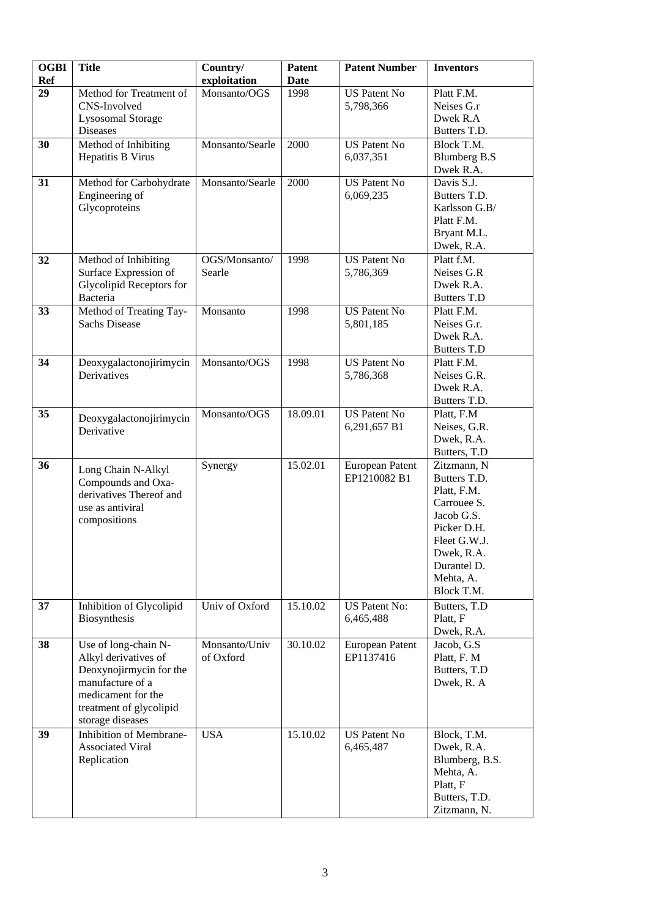| <b>OGBI</b><br><b>Ref</b> | <b>Title</b>                                                                                                                                                     | Country/<br>exploitation   | <b>Patent</b><br><b>Date</b> | <b>Patent Number</b>                | <b>Inventors</b>                                                                                                                                               |
|---------------------------|------------------------------------------------------------------------------------------------------------------------------------------------------------------|----------------------------|------------------------------|-------------------------------------|----------------------------------------------------------------------------------------------------------------------------------------------------------------|
| 29                        | Method for Treatment of<br>CNS-Involved<br><b>Lysosomal Storage</b><br><b>Diseases</b>                                                                           | Monsanto/OGS               | 1998                         | <b>US Patent No</b><br>5,798,366    | Platt F.M.<br>Neises G.r<br>Dwek R.A<br>Butters T.D.                                                                                                           |
| 30                        | Method of Inhibiting<br>Hepatitis B Virus                                                                                                                        | Monsanto/Searle            | 2000                         | <b>US Patent No</b><br>6,037,351    | Block T.M.<br><b>Blumberg B.S</b><br>Dwek R.A.                                                                                                                 |
| 31                        | Method for Carbohydrate<br>Engineering of<br>Glycoproteins                                                                                                       | Monsanto/Searle            | 2000                         | <b>US Patent No</b><br>6,069,235    | Davis S.J.<br>Butters T.D.<br>Karlsson G.B/<br>Platt F.M.<br>Bryant M.L.<br>Dwek, R.A.                                                                         |
| 32                        | Method of Inhibiting<br>Surface Expression of<br>Glycolipid Receptors for<br>Bacteria                                                                            | OGS/Monsanto/<br>Searle    | 1998                         | <b>US Patent No</b><br>5,786,369    | Platt f.M.<br>Neises G.R<br>Dwek R.A.<br><b>Butters T.D</b>                                                                                                    |
| 33                        | Method of Treating Tay-<br><b>Sachs Disease</b>                                                                                                                  | Monsanto                   | 1998                         | <b>US Patent No</b><br>5,801,185    | Platt F.M.<br>Neises G.r.<br>Dwek R.A.<br><b>Butters T.D</b>                                                                                                   |
| 34                        | Deoxygalactonojirimycin<br>Derivatives                                                                                                                           | Monsanto/OGS               | 1998                         | <b>US Patent No</b><br>5,786,368    | Platt F.M.<br>Neises G.R.<br>Dwek R.A.<br>Butters T.D.                                                                                                         |
| 35                        | Deoxygalactonojirimycin<br>Derivative                                                                                                                            | Monsanto/OGS               | 18.09.01                     | <b>US Patent No</b><br>6,291,657 B1 | Platt, F.M<br>Neises, G.R.<br>Dwek, R.A.<br>Butters, T.D                                                                                                       |
| 36                        | Long Chain N-Alkyl<br>Compounds and Oxa-<br>derivatives Thereof and<br>use as antiviral<br>compositions                                                          | Synergy                    | 15.02.01                     | European Patent<br>EP1210082 B1     | Zitzmann, N<br>Butters T.D.<br>Platt, F.M.<br>Carrouee S.<br>Jacob G.S.<br>Picker D.H.<br>Fleet G.W.J.<br>Dwek, R.A.<br>Durantel D.<br>Mehta, A.<br>Block T.M. |
| 37                        | Inhibition of Glycolipid<br>Biosynthesis                                                                                                                         | Univ of Oxford             | 15.10.02                     | <b>US Patent No:</b><br>6,465,488   | Butters, T.D<br>Platt, F<br>Dwek, R.A.                                                                                                                         |
| 38                        | Use of long-chain N-<br>Alkyl derivatives of<br>Deoxynojirmycin for the<br>manufacture of a<br>medicament for the<br>treatment of glycolipid<br>storage diseases | Monsanto/Univ<br>of Oxford | 30.10.02                     | European Patent<br>EP1137416        | Jacob, G.S.<br>Platt, F. M<br>Butters, T.D<br>Dwek, R. A                                                                                                       |
| 39                        | Inhibition of Membrane-<br><b>Associated Viral</b><br>Replication                                                                                                | <b>USA</b>                 | 15.10.02                     | <b>US Patent No</b><br>6,465,487    | Block, T.M.<br>Dwek, R.A.<br>Blumberg, B.S.<br>Mehta, A.<br>Platt, F<br>Butters, T.D.<br>Zitzmann, N.                                                          |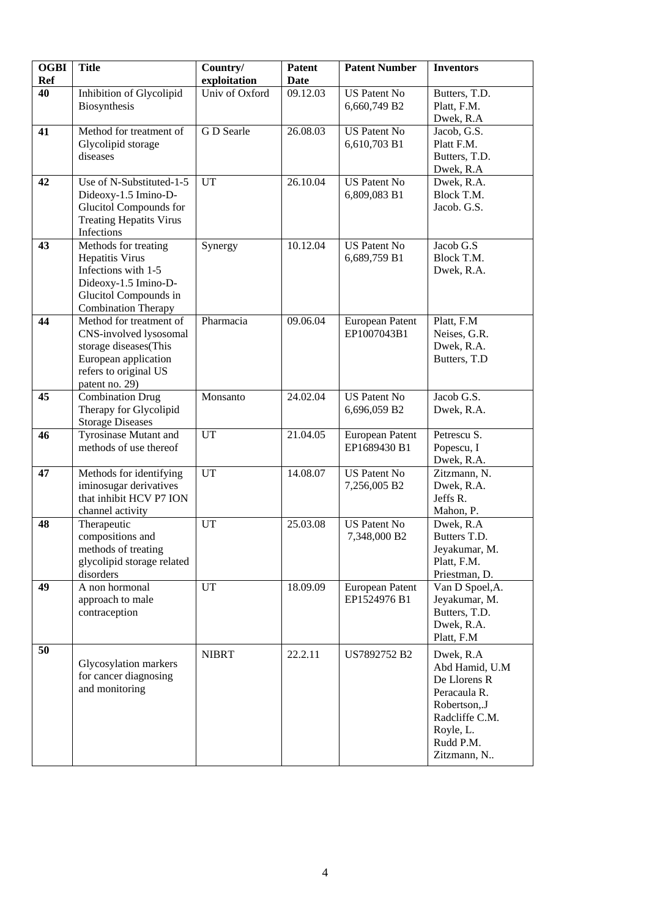| <b>OGBI</b><br><b>Ref</b> | <b>Title</b>                                                                                                                                         | Country/<br>exploitation | <b>Patent</b><br><b>Date</b> | <b>Patent Number</b>                  | <b>Inventors</b>                                                                                                                       |
|---------------------------|------------------------------------------------------------------------------------------------------------------------------------------------------|--------------------------|------------------------------|---------------------------------------|----------------------------------------------------------------------------------------------------------------------------------------|
| 40                        | Inhibition of Glycolipid<br>Biosynthesis                                                                                                             | Univ of Oxford           | 09.12.03                     | <b>US Patent No</b><br>6,660,749 B2   | Butters, T.D.<br>Platt, F.M.<br>Dwek, R.A                                                                                              |
| 41                        | Method for treatment of<br>Glycolipid storage<br>diseases                                                                                            | G D Searle               | 26.08.03                     | <b>US Patent No</b><br>6,610,703 B1   | Jacob, G.S.<br>Platt F.M.<br>Butters, T.D.<br>Dwek, R.A                                                                                |
| 42                        | Use of N-Substituted-1-5<br>Dideoxy-1.5 Imino-D-<br>Glucitol Compounds for<br><b>Treating Hepatits Virus</b><br>Infections                           | U <sub>T</sub>           | 26.10.04                     | <b>US Patent No</b><br>6,809,083 B1   | Dwek, R.A.<br>Block T.M.<br>Jacob. G.S.                                                                                                |
| 43                        | Methods for treating<br><b>Hepatitis Virus</b><br>Infections with 1-5<br>Dideoxy-1.5 Imino-D-<br>Glucitol Compounds in<br><b>Combination Therapy</b> | Synergy                  | 10.12.04                     | <b>US Patent No</b><br>6,689,759 B1   | Jacob G.S<br>Block T.M.<br>Dwek, R.A.                                                                                                  |
| 44                        | Method for treatment of<br>CNS-involved lysosomal<br>storage diseases(This<br>European application<br>refers to original US<br>patent no. 29)        | Pharmacia                | 09.06.04                     | <b>European Patent</b><br>EP1007043B1 | Platt, F.M<br>Neises, G.R.<br>Dwek, R.A.<br>Butters, T.D                                                                               |
| 45                        | <b>Combination Drug</b><br>Therapy for Glycolipid<br><b>Storage Diseases</b>                                                                         | Monsanto                 | 24.02.04                     | <b>US Patent No</b><br>6,696,059 B2   | Jacob G.S.<br>Dwek, R.A.                                                                                                               |
| 46                        | Tyrosinase Mutant and<br>methods of use thereof                                                                                                      | <b>UT</b>                | 21.04.05                     | European Patent<br>EP1689430 B1       | Petrescu S.<br>Popescu, I<br>Dwek, R.A.                                                                                                |
| 47                        | Methods for identifying<br>iminosugar derivatives<br>that inhibit HCV P7 ION<br>channel activity                                                     | <b>UT</b>                | 14.08.07                     | <b>US Patent No</b><br>7,256,005 B2   | Zitzmann, N.<br>Dwek, R.A.<br>Jeffs R.<br>Mahon, P.                                                                                    |
| 48                        | Therapeutic<br>compositions and<br>methods of treating<br>glycolipid storage related<br>disorders                                                    | <b>UT</b>                | 25.03.08                     | <b>US Patent No</b><br>7,348,000 B2   | Dwek, R.A<br>Butters T.D.<br>Jeyakumar, M.<br>Platt, F.M.<br>Priestman, D.                                                             |
| 49                        | A non hormonal<br>approach to male<br>contraception                                                                                                  | <b>UT</b>                | 18.09.09                     | European Patent<br>EP1524976 B1       | Van D Spoel, A.<br>Jeyakumar, M.<br>Butters, T.D.<br>Dwek, R.A.<br>Platt, F.M                                                          |
| 50                        | Glycosylation markers<br>for cancer diagnosing<br>and monitoring                                                                                     | <b>NIBRT</b>             | 22.2.11                      | US7892752 B2                          | Dwek, R.A<br>Abd Hamid, U.M<br>De Llorens R<br>Peracaula R.<br>Robertson,.J<br>Radcliffe C.M.<br>Royle, L.<br>Rudd P.M.<br>Zitzmann, N |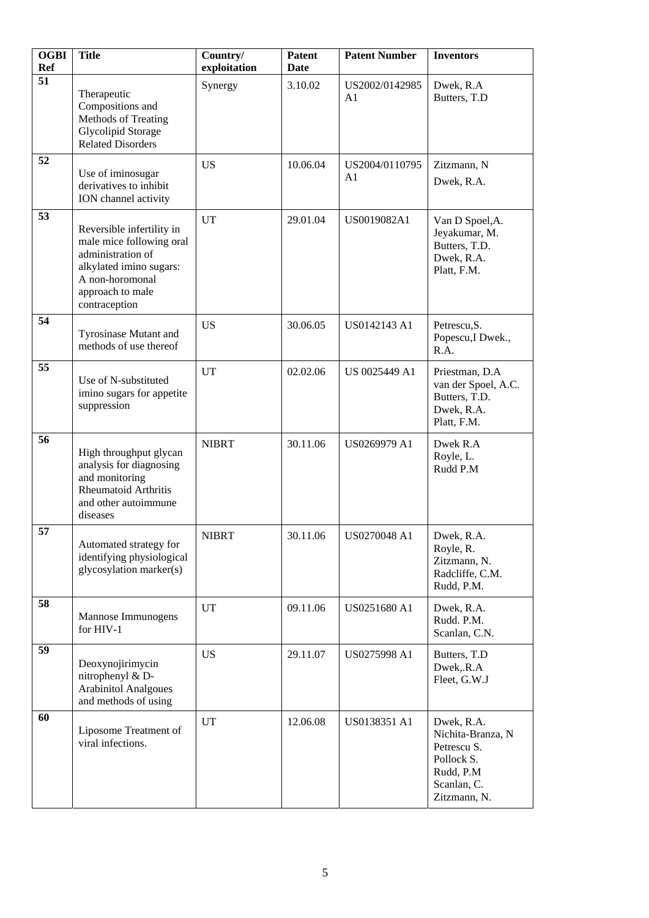| <b>OGBI</b><br><b>Ref</b> | <b>Title</b>                                                                                                                                                  | Country/<br>exploitation | <b>Patent</b><br><b>Date</b> | <b>Patent Number</b>             | <b>Inventors</b>                                                                                         |
|---------------------------|---------------------------------------------------------------------------------------------------------------------------------------------------------------|--------------------------|------------------------------|----------------------------------|----------------------------------------------------------------------------------------------------------|
| 51                        | Therapeutic<br>Compositions and<br>Methods of Treating<br><b>Glycolipid Storage</b><br><b>Related Disorders</b>                                               | Synergy                  | 3.10.02                      | US2002/0142985<br>A <sub>1</sub> | Dwek, R.A<br>Butters, T.D                                                                                |
| 52                        | Use of iminosugar<br>derivatives to inhibit<br>ION channel activity                                                                                           | <b>US</b>                | 10.06.04                     | US2004/0110795<br>A1             | Zitzmann, N<br>Dwek, R.A.                                                                                |
| 53                        | Reversible infertility in<br>male mice following oral<br>administration of<br>alkylated imino sugars:<br>A non-horomonal<br>approach to male<br>contraception | <b>UT</b>                | 29.01.04                     | US0019082A1                      | Van D Spoel, A.<br>Jeyakumar, M.<br>Butters, T.D.<br>Dwek, R.A.<br>Platt, F.M.                           |
| 54                        | Tyrosinase Mutant and<br>methods of use thereof                                                                                                               | <b>US</b>                | 30.06.05                     | US0142143 A1                     | Petrescu, S.<br>Popescu, I Dwek.,<br>R.A.                                                                |
| 55                        | Use of N-substituted<br>imino sugars for appetite<br>suppression                                                                                              | UT                       | 02.02.06                     | US 0025449 A1                    | Priestman, D.A<br>van der Spoel, A.C.<br>Butters, T.D.<br>Dwek, R.A.<br>Platt, F.M.                      |
| 56                        | High throughput glycan<br>analysis for diagnosing<br>and monitoring<br><b>Rheumatoid Arthritis</b><br>and other autoimmune<br>diseases                        | <b>NIBRT</b>             | 30.11.06                     | US0269979 A1                     | Dwek R.A<br>Royle, L.<br>Rudd P.M                                                                        |
| 57                        | Automated strategy for<br>identifying physiological<br>glycosylation marker(s)                                                                                | <b>NIBRT</b>             | 30.11.06                     | US0270048 A1                     | Dwek, R.A.<br>Royle, R.<br>Zitzmann, N.<br>Radcliffe, C.M.<br>Rudd, P.M.                                 |
| 58                        | Mannose Immunogens<br>for HIV-1                                                                                                                               | UT                       | 09.11.06                     | US0251680 A1                     | Dwek, R.A.<br>Rudd. P.M.<br>Scanlan, C.N.                                                                |
| 59                        | Deoxynojirimycin<br>nitrophenyl & D-<br><b>Arabinitol Analgoues</b><br>and methods of using                                                                   | <b>US</b>                | 29.11.07                     | US0275998 A1                     | Butters, T.D<br>Dwek, R.A<br>Fleet, G.W.J                                                                |
| 60                        | Liposome Treatment of<br>viral infections.                                                                                                                    | <b>UT</b>                | 12.06.08                     | US0138351 A1                     | Dwek, R.A.<br>Nichita-Branza, N<br>Petrescu S.<br>Pollock S.<br>Rudd, P.M<br>Scanlan, C.<br>Zitzmann, N. |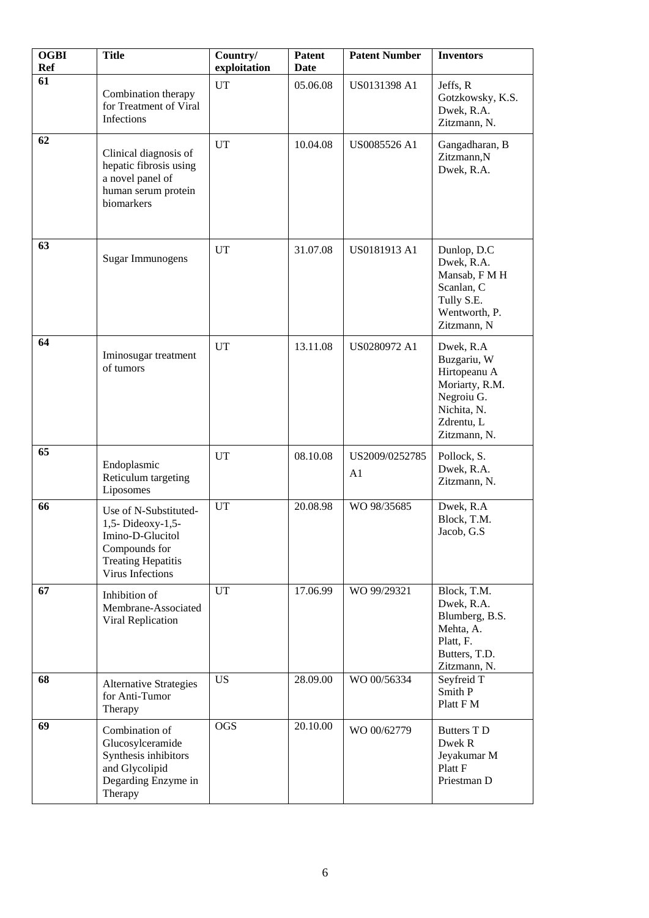| <b>OGBI</b><br><b>Ref</b> | <b>Title</b>                                                                                                                     | Country/<br>exploitation | <b>Patent</b><br>Date | <b>Patent Number</b>             | <b>Inventors</b>                                                                                                      |
|---------------------------|----------------------------------------------------------------------------------------------------------------------------------|--------------------------|-----------------------|----------------------------------|-----------------------------------------------------------------------------------------------------------------------|
| 61                        | Combination therapy<br>for Treatment of Viral<br>Infections                                                                      | <b>UT</b>                | 05.06.08              | US0131398 A1                     | Jeffs, R<br>Gotzkowsky, K.S.<br>Dwek, R.A.<br>Zitzmann, N.                                                            |
| 62                        | Clinical diagnosis of<br>hepatic fibrosis using<br>a novel panel of<br>human serum protein<br>biomarkers                         | UT                       | 10.04.08              | US0085526 A1                     | Gangadharan, B<br>Zitzmann,N<br>Dwek, R.A.                                                                            |
| 63                        | <b>Sugar Immunogens</b>                                                                                                          | <b>UT</b>                | 31.07.08              | US0181913 A1                     | Dunlop, D.C<br>Dwek, R.A.<br>Mansab, F M H<br>Scanlan, C<br>Tully S.E.<br>Wentworth, P.<br>Zitzmann, N                |
| 64                        | Iminosugar treatment<br>of tumors                                                                                                | <b>UT</b>                | 13.11.08              | US0280972 A1                     | Dwek, R.A<br>Buzgariu, W<br>Hirtopeanu A<br>Moriarty, R.M.<br>Negroiu G.<br>Nichita, N.<br>Zdrentu, L<br>Zitzmann, N. |
| 65                        | Endoplasmic<br>Reticulum targeting<br>Liposomes                                                                                  | UT                       | 08.10.08              | US2009/0252785<br>A <sub>1</sub> | Pollock, S.<br>Dwek, R.A.<br>Zitzmann, N.                                                                             |
| 66                        | Use of N-Substituted-<br>1,5- Dideoxy-1,5-<br>Imino-D-Glucitol<br>Compounds for<br><b>Treating Hepatitis</b><br>Virus Infections | UT                       | 20.08.98              | WO 98/35685                      | Dwek, R.A<br>Block, T.M.<br>Jacob, G.S.                                                                               |
| 67                        | Inhibition of<br>Membrane-Associated<br>Viral Replication                                                                        | UT                       | 17.06.99              | WO 99/29321                      | Block, T.M.<br>Dwek, R.A.<br>Blumberg, B.S.<br>Mehta, A.<br>Platt, F.<br>Butters, T.D.<br>Zitzmann, N.                |
| 68                        | <b>Alternative Strategies</b><br>for Anti-Tumor<br>Therapy                                                                       | <b>US</b>                | 28.09.00              | WO 00/56334                      | Seyfreid T<br>Smith P<br>Platt F M                                                                                    |
| 69                        | Combination of<br>Glucosylceramide<br>Synthesis inhibitors<br>and Glycolipid<br>Degarding Enzyme in<br>Therapy                   | <b>OGS</b>               | 20.10.00              | WO 00/62779                      | <b>Butters T D</b><br>Dwek R<br>Jeyakumar M<br>Platt F<br>Priestman D                                                 |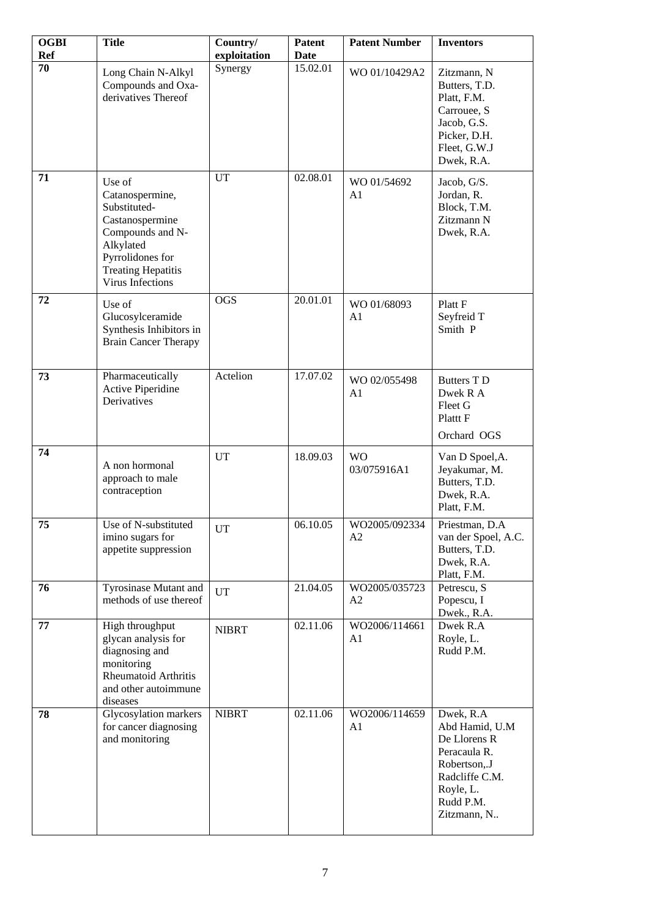| <b>OGBI</b><br><b>Ref</b> | <b>Title</b>                                                                                                                                                              | Country/<br>exploitation | Patent<br>Date | <b>Patent Number</b>          | <b>Inventors</b>                                                                                                                       |
|---------------------------|---------------------------------------------------------------------------------------------------------------------------------------------------------------------------|--------------------------|----------------|-------------------------------|----------------------------------------------------------------------------------------------------------------------------------------|
| 70                        | Long Chain N-Alkyl<br>Compounds and Oxa-<br>derivatives Thereof                                                                                                           | Synergy                  | 15.02.01       | WO 01/10429A2                 | Zitzmann, N<br>Butters, T.D.<br>Platt, F.M.<br>Carrouee, S<br>Jacob, G.S.<br>Picker, D.H.<br>Fleet, G.W.J<br>Dwek, R.A.                |
| 71                        | Use of<br>Catanospermine,<br>Substituted-<br>Castanospermine<br>Compounds and N-<br>Alkylated<br>Pyrrolidones for<br><b>Treating Hepatitis</b><br><b>Virus Infections</b> | UT                       | 02.08.01       | WO 01/54692<br>A1             | Jacob, G/S.<br>Jordan, R.<br>Block, T.M.<br>Zitzmann N<br>Dwek, R.A.                                                                   |
| 72                        | Use of<br>Glucosylceramide<br>Synthesis Inhibitors in<br><b>Brain Cancer Therapy</b>                                                                                      | <b>OGS</b>               | 20.01.01       | WO 01/68093<br>A <sub>1</sub> | Platt F<br>Seyfreid T<br>Smith P                                                                                                       |
| 73                        | Pharmaceutically<br><b>Active Piperidine</b><br>Derivatives                                                                                                               | Actelion                 | 17.07.02       | WO 02/055498<br>A1            | <b>Butters T D</b><br>Dwek R A<br>Fleet G<br>Platt F<br>Orchard OGS                                                                    |
| 74                        | A non hormonal<br>approach to male<br>contraception                                                                                                                       | UT                       | 18.09.03       | <b>WO</b><br>03/075916A1      | Van D Spoel, A.<br>Jeyakumar, M.<br>Butters, T.D.<br>Dwek, R.A.<br>Platt, F.M.                                                         |
| 75                        | Use of N-substituted<br>imino sugars for<br>appetite suppression                                                                                                          | <b>UT</b>                | 06.10.05       | WO2005/092334<br>A2           | Priestman, D.A<br>van der Spoel, A.C.<br>Butters, T.D.<br>Dwek, R.A.<br>Platt, F.M.                                                    |
| 76                        | Tyrosinase Mutant and<br>methods of use thereof                                                                                                                           | <b>UT</b>                | 21.04.05       | WO2005/035723<br>A2           | Petrescu, S<br>Popescu, I<br>Dwek., R.A.                                                                                               |
| 77                        | High throughput<br>glycan analysis for<br>diagnosing and<br>monitoring<br>Rheumatoid Arthritis<br>and other autoimmune<br>diseases                                        | <b>NIBRT</b>             | 02.11.06       | WO2006/114661<br>A1           | Dwek R.A<br>Royle, L.<br>Rudd P.M.                                                                                                     |
| 78                        | Glycosylation markers<br>for cancer diagnosing<br>and monitoring                                                                                                          | <b>NIBRT</b>             | 02.11.06       | WO2006/114659<br>A1           | Dwek, R.A<br>Abd Hamid, U.M<br>De Llorens R<br>Peracaula R.<br>Robertson,.J<br>Radcliffe C.M.<br>Royle, L.<br>Rudd P.M.<br>Zitzmann, N |